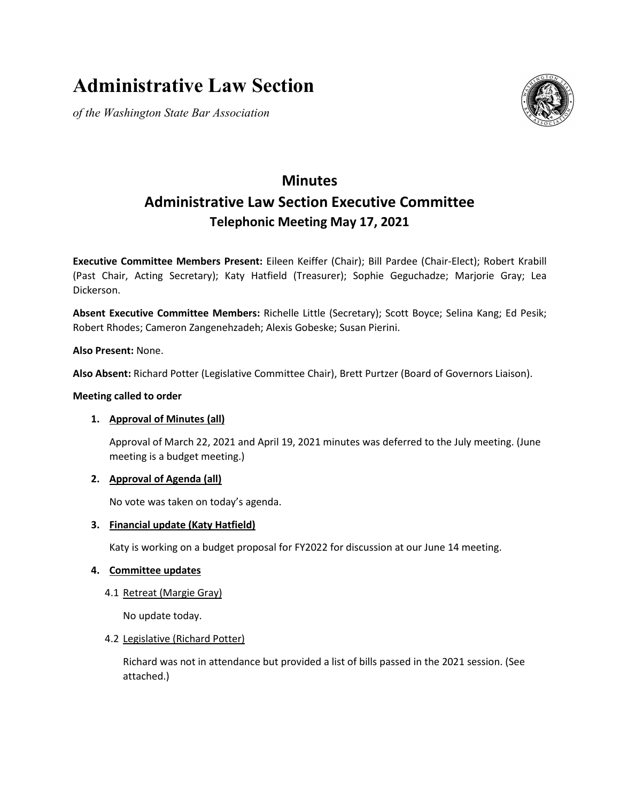# **Administrative Law Section**

*of the Washington State Bar Association*



# **Minutes Administrative Law Section Executive Committee Telephonic Meeting May 17, 2021**

**Executive Committee Members Present:** Eileen Keiffer (Chair); Bill Pardee (Chair-Elect); Robert Krabill (Past Chair, Acting Secretary); Katy Hatfield (Treasurer); Sophie Geguchadze; Marjorie Gray; Lea Dickerson.

**Absent Executive Committee Members:** Richelle Little (Secretary); Scott Boyce; Selina Kang; Ed Pesik; Robert Rhodes; Cameron Zangenehzadeh; Alexis Gobeske; Susan Pierini.

**Also Present:** None.

**Also Absent:** Richard Potter (Legislative Committee Chair), Brett Purtzer (Board of Governors Liaison).

#### **Meeting called to order**

# **1. Approval of Minutes (all)**

Approval of March 22, 2021 and April 19, 2021 minutes was deferred to the July meeting. (June meeting is a budget meeting.)

#### **2. Approval of Agenda (all)**

No vote was taken on today's agenda.

#### **3. Financial update (Katy Hatfield)**

Katy is working on a budget proposal for FY2022 for discussion at our June 14 meeting.

#### **4. Committee updates**

#### 4.1 Retreat (Margie Gray)

No update today.

#### 4.2 Legislative (Richard Potter)

Richard was not in attendance but provided a list of bills passed in the 2021 session. (See attached.)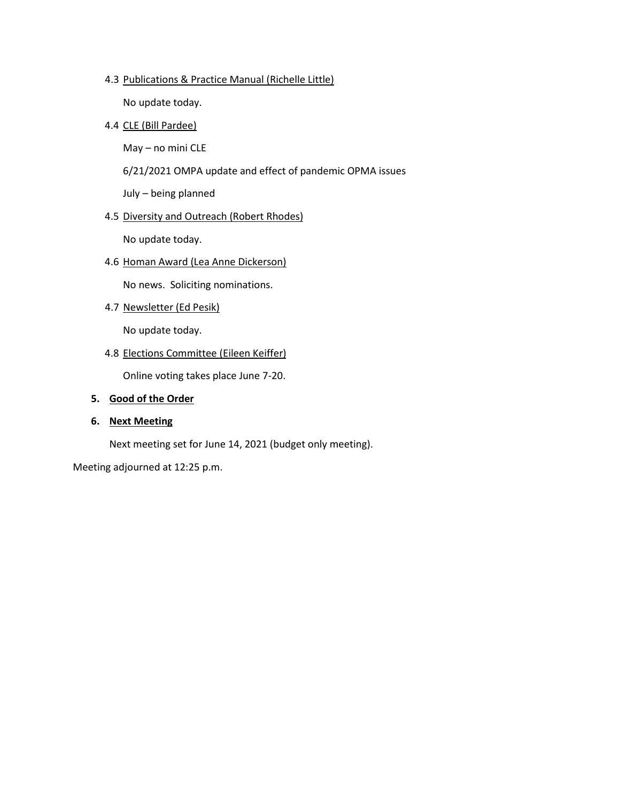#### 4.3 Publications & Practice Manual (Richelle Little)

No update today.

#### 4.4 CLE (Bill Pardee)

May – no mini CLE

6/21/2021 OMPA update and effect of pandemic OPMA issues

July – being planned

#### 4.5 Diversity and Outreach (Robert Rhodes)

No update today.

4.6 Homan Award (Lea Anne Dickerson)

No news. Soliciting nominations.

4.7 Newsletter (Ed Pesik)

No update today.

4.8 Elections Committee (Eileen Keiffer)

Online voting takes place June 7-20.

#### **5. Good of the Order**

#### **6. Next Meeting**

Next meeting set for June 14, 2021 (budget only meeting).

Meeting adjourned at 12:25 p.m.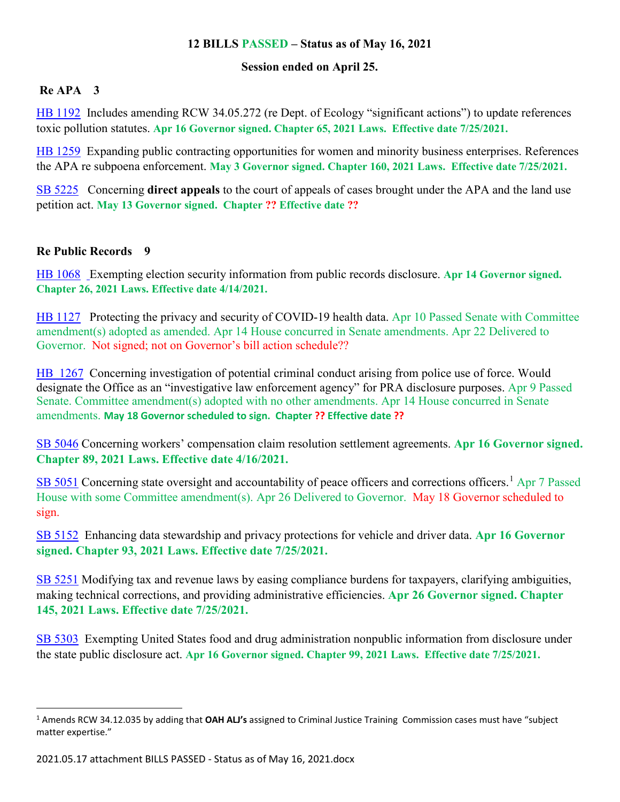# **12 BILLS PASSED – Status as of May 16, 2021**

# **Session ended on April 25.**

# **Re APA 3**

[HB 1192](https://apps.leg.wa.gov/billsummary/?BillNumber=1192&Year=2021&Initiative=false) Includes amending RCW 34.05.272 (re Dept. of Ecology "significant actions") to update references toxic pollution statutes. **Apr 16 Governor signed. Chapter 65, 2021 Laws. Effective date 7/25/2021.**

[HB 1259](https://apps.leg.wa.gov/billsummary/?BillNumber=1259&Year=2021&Initiative=false) Expanding public contracting opportunities for women and minority business enterprises. References the APA re subpoena enforcement. **May 3 Governor signed. Chapter 160, 2021 Laws. Effective date 7/25/2021.**

[SB 5225](https://app.leg.wa.gov/billsummary?BillNumber=5225&Year=2021&Initiative=false) Concerning **direct appeals** to the court of appeals of cases brought under the APA and the land use petition act. **May 13 Governor signed. Chapter ?? Effective date ??**

# **Re Public Records 9**

[HB 1068](https://app.leg.wa.gov/billsummary?billnumber=1068&year=2021) Exempting election security information from public records disclosure. **Apr 14 Governor signed. Chapter 26, 2021 Laws. Effective date 4/14/2021.**

[HB 1127](https://apps.leg.wa.gov/billsummary/?BillNumber=1127&Year=2021&Initiative=false) Protecting the privacy and security of COVID-19 health data. Apr 10 Passed Senate with Committee amendment(s) adopted as amended. Apr 14 House concurred in Senate amendments. Apr 22 Delivered to Governor. Not signed; not on Governor's bill action schedule??

[HB 1267](https://apps.leg.wa.gov/billsummary/?BillNumber=1267&Year=2021&Initiative=false) Concerning investigation of potential criminal conduct arising from police use of force. Would designate the Office as an "investigative law enforcement agency" for PRA disclosure purposes. Apr 9 Passed Senate. Committee amendment(s) adopted with no other amendments. Apr 14 House concurred in Senate amendments. **May 18 Governor scheduled to sign. Chapter ?? Effective date ??**

[SB 5046](https://app.leg.wa.gov/billsummary?billnumber=5046&year=2021) Concerning workers' compensation claim resolution settlement agreements. **Apr 16 Governor signed. Chapter 89, 2021 Laws. Effective date 4/16/2021.**

[SB 5051](https://app.leg.wa.gov/billsummary?billnumber=5051&year=2021) Concerning state oversight and accountability of peace officers and corrections officers.<sup>[1](#page-2-0)</sup> Apr 7 Passed House with some Committee amendment(s). Apr 26 Delivered to Governor. May 18 Governor scheduled to sign.

[SB 5152](https://apps.leg.wa.gov/billsummary/?BillNumber=5152&Year=2021&Initiative=false) Enhancing data stewardship and privacy protections for vehicle and driver data. **Apr 16 Governor signed. Chapter 93, 2021 Laws. Effective date 7/25/2021.**

[SB 5251](https://app.leg.wa.gov/billsummary?BillNumber=5251&Year=2021&Initiative=false) Modifying tax and revenue laws by easing compliance burdens for taxpayers, clarifying ambiguities, making technical corrections, and providing administrative efficiencies. **Apr 26 Governor signed. Chapter 145, 2021 Laws. Effective date 7/25/2021.**

[SB 5303](https://app.leg.wa.gov/billsummary?BillNumber=5303&Year=2021&Initiative=false) Exempting United States food and drug administration nonpublic information from disclosure under the state public disclosure act. **Apr 16 Governor signed. Chapter 99, 2021 Laws. Effective date 7/25/2021.**

<span id="page-2-0"></span> <sup>1</sup> Amends RCW 34.12.035 by adding that **OAH ALJ's** assigned to Criminal Justice Training Commission cases must have "subject matter expertise."